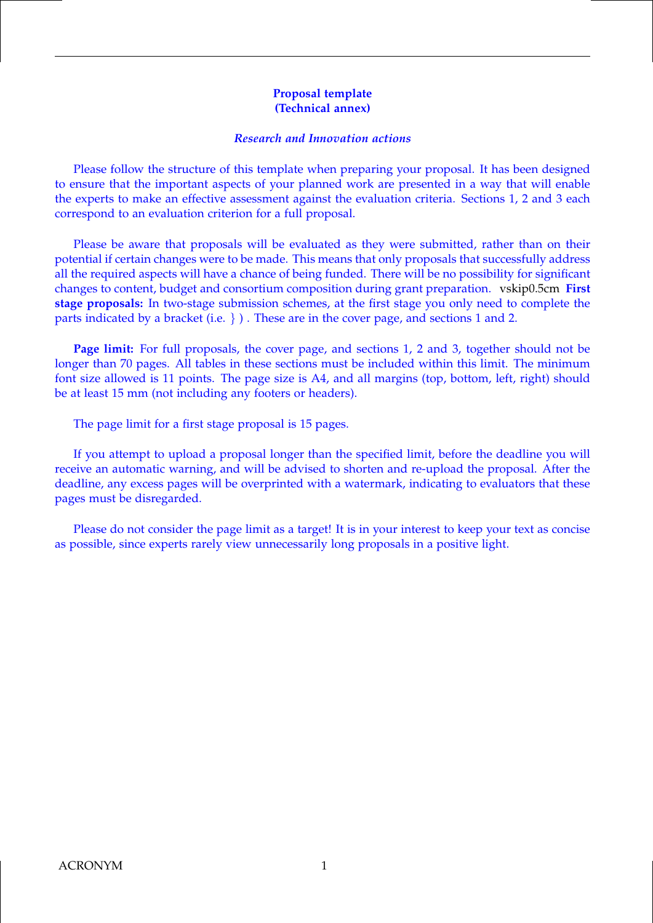### **Proposal template (Technical annex)**

### *Research and Innovation actions*

Please follow the structure of this template when preparing your proposal. It has been designed to ensure that the important aspects of your planned work are presented in a way that will enable the experts to make an effective assessment against the evaluation criteria. Sections 1, 2 and 3 each correspond to an evaluation criterion for a full proposal.

Please be aware that proposals will be evaluated as they were submitted, rather than on their potential if certain changes were to be made. This means that only proposals that successfully address all the required aspects will have a chance of being funded. There will be no possibility for significant changes to content, budget and consortium composition during grant preparation. vskip0.5cm **First stage proposals:** In two-stage submission schemes, at the first stage you only need to complete the parts indicated by a bracket (i.e.  $\}$ ). These are in the cover page, and sections 1 and 2.

**Page limit:** For full proposals, the cover page, and sections 1, 2 and 3, together should not be longer than 70 pages. All tables in these sections must be included within this limit. The minimum font size allowed is 11 points. The page size is A4, and all margins (top, bottom, left, right) should be at least 15 mm (not including any footers or headers).

The page limit for a first stage proposal is 15 pages.

If you attempt to upload a proposal longer than the specified limit, before the deadline you will receive an automatic warning, and will be advised to shorten and re-upload the proposal. After the deadline, any excess pages will be overprinted with a watermark, indicating to evaluators that these pages must be disregarded.

Please do not consider the page limit as a target! It is in your interest to keep your text as concise as possible, since experts rarely view unnecessarily long proposals in a positive light.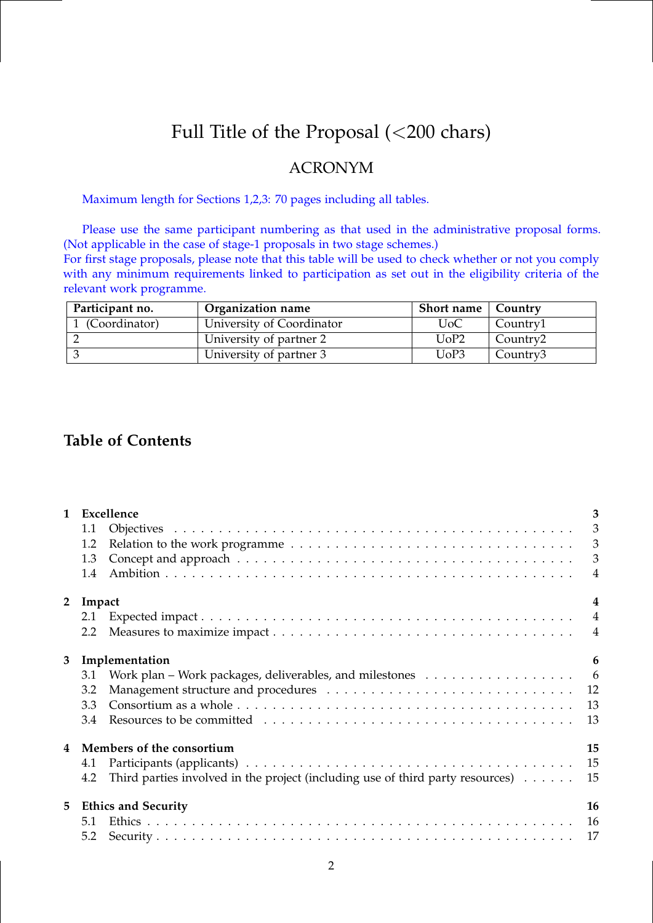### Full Title of the Proposal (<200 chars)

### ACRONYM

Maximum length for Sections 1,2,3: 70 pages including all tables.

Please use the same participant numbering as that used in the administrative proposal forms. (Not applicable in the case of stage-1 proposals in two stage schemes.)

For first stage proposals, please note that this table will be used to check whether or not you comply with any minimum requirements linked to participation as set out in the eligibility criteria of the relevant work programme.

| Participant no. | <b>Organization name</b>  | <b>Short name</b>   Country |          |
|-----------------|---------------------------|-----------------------------|----------|
| 1 (Coordinator) | University of Coordinator | UoC                         | Country1 |
|                 | University of partner 2   | UoP2                        | Country2 |
|                 | University of partner 3   | UoP3                        | Country3 |

### **Table of Contents**

| $\mathbf{1}$   | Excellence                                                                                          | $\overline{\mathbf{3}}$  |
|----------------|-----------------------------------------------------------------------------------------------------|--------------------------|
|                | 1.1                                                                                                 | $\overline{\phantom{a}}$ |
|                | 1.2                                                                                                 | $\overline{3}$           |
|                | 1.3                                                                                                 | $\overline{3}$           |
|                | 1.4                                                                                                 | $\overline{4}$           |
| $2^{\circ}$    | Impact                                                                                              | $\overline{4}$           |
|                | 2.1                                                                                                 | $\overline{4}$           |
|                | $2.2\phantom{0}$                                                                                    | $\overline{4}$           |
| 3              | Implementation                                                                                      | 6                        |
|                | Work plan – Work packages, deliverables, and milestones 6<br>3.1                                    |                          |
|                | 3.2                                                                                                 |                          |
|                | 3.3                                                                                                 | 13                       |
|                | 3.4                                                                                                 | 13                       |
| $\overline{4}$ | Members of the consortium                                                                           | 15                       |
|                | 4.1                                                                                                 | 15                       |
|                | Third parties involved in the project (including use of third party resources) $\dots \dots$<br>4.2 | 15                       |
| 5              | <b>Ethics and Security</b>                                                                          | 16                       |
|                | 5.1                                                                                                 |                          |
|                | 5.2                                                                                                 |                          |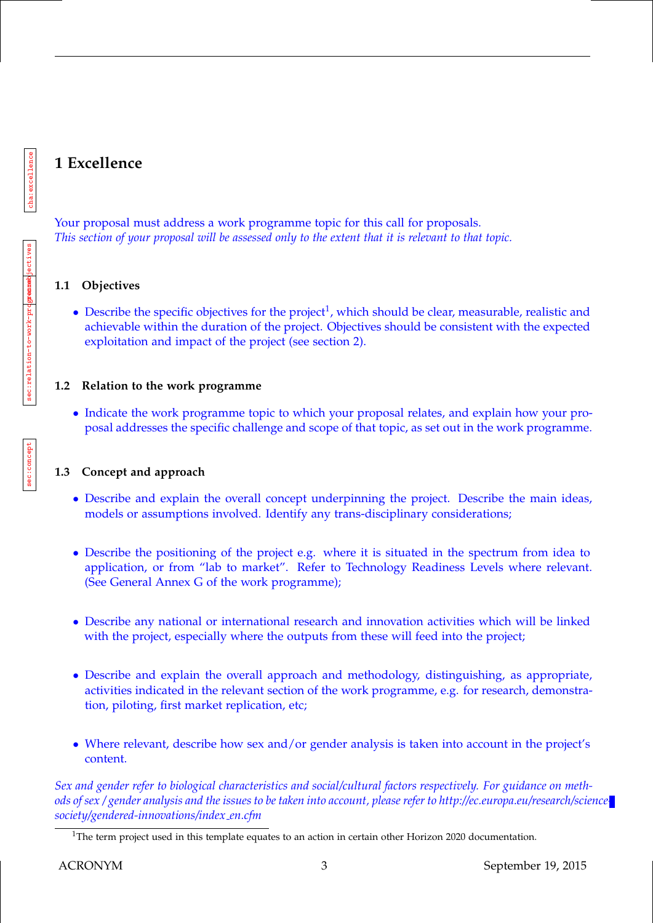**semme**bjectives

sec:relation-to-work-programme

sec:relation-to-work-progsemmeb jectives

sec:concept

### **1 Excellence**

Your proposal must address a work programme topic for this call for proposals. *This section of your proposal will be assessed only to the extent that it is relevant to that topic.*

### **1.1 Objectives**

• Describe the specific objectives for the project<sup>1</sup>, which should be clear, measurable, realistic and achievable within the duration of the project. Objectives should be consistent with the expected exploitation and impact of the project (see section 2).

### **1.2 Relation to the work programme**

• Indicate the work programme topic to which your proposal relates, and explain how your proposal addresses the specific challenge and scope of that topic, as set out in the work programme.

### **1.3 Concept and approach**

- Describe and explain the overall concept underpinning the project. Describe the main ideas, models or assumptions involved. Identify any trans-disciplinary considerations;
- Describe the positioning of the project e.g. where it is situated in the spectrum from idea to application, or from "lab to market". Refer to Technology Readiness Levels where relevant. (See General Annex G of the work programme);
- Describe any national or international research and innovation activities which will be linked with the project, especially where the outputs from these will feed into the project;
- Describe and explain the overall approach and methodology, distinguishing, as appropriate, activities indicated in the relevant section of the work programme, e.g. for research, demonstration, piloting, first market replication, etc;
- Where relevant, describe how sex and/or gender analysis is taken into account in the project's content.

*Sex and gender refer to biological characteristics and social/cultural factors respectively. For guidance on methods of sex / gender analysis and the issues to be taken into account, please refer to http://ec.europa.eu/research/sciencesociety/gendered-innovations/index en.cfm*

<sup>&</sup>lt;sup>1</sup>The term project used in this template equates to an action in certain other Horizon 2020 documentation.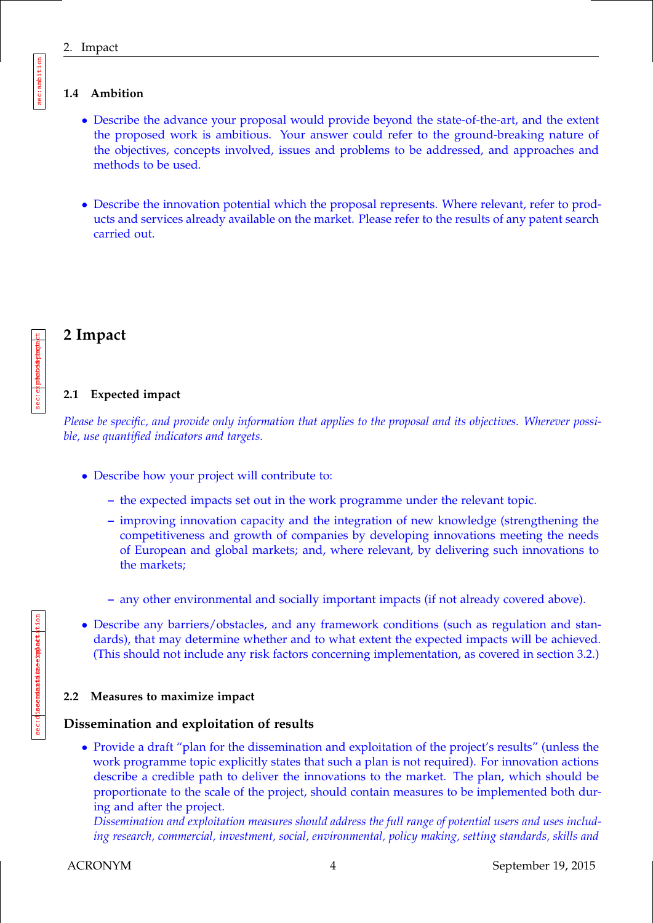sec:ambition

sec:ambiti

### **1.4 Ambition**

- Describe the advance your proposal would provide beyond the state-of-the-art, and the extent the proposed work is ambitious. Your answer could refer to the ground-breaking nature of the objectives, concepts involved, issues and problems to be addressed, and approaches and methods to be used.
- Describe the innovation potential which the proposal represents. Where relevant, refer to products and services already available on the market. Please refer to the results of any patent search carried out.

### **2 Impact**

### **2.1 Expected impact**

*Please be specific, and provide only information that applies to the proposal and its objectives. Wherever possible, use quantified indicators and targets.*

- Describe how your project will contribute to:
	- **–** the expected impacts set out in the work programme under the relevant topic.
	- **–** improving innovation capacity and the integration of new knowledge (strengthening the competitiveness and growth of companies by developing innovations meeting the needs of European and global markets; and, where relevant, by delivering such innovations to the markets;
	- **–** any other environmental and socially important impacts (if not already covered above).
- Describe any barriers/obstacles, and any framework conditions (such as regulation and standards), that may determine whether and to what extent the expected impacts will be achieved. (This should not include any risk factors concerning implementation, as covered in section 3.2.)

### **2.2 Measures to maximize impact**

### **Dissemination and exploitation of results**

• Provide a draft "plan for the dissemination and exploitation of the project's results" (unless the work programme topic explicitly states that such a plan is not required). For innovation actions describe a credible path to deliver the innovations to the market. The plan, which should be proportionate to the scale of the project, should contain measures to be implemented both during and after the project.

*Dissemination and exploitation measures should address the full range of potential users and uses including research, commercial, investment, social, environmental, policy making, setting standards, skills and*

# sec:dissemination-exploitation sec: diseemmaatmipneeimpadtation seemiaatmibzeekippact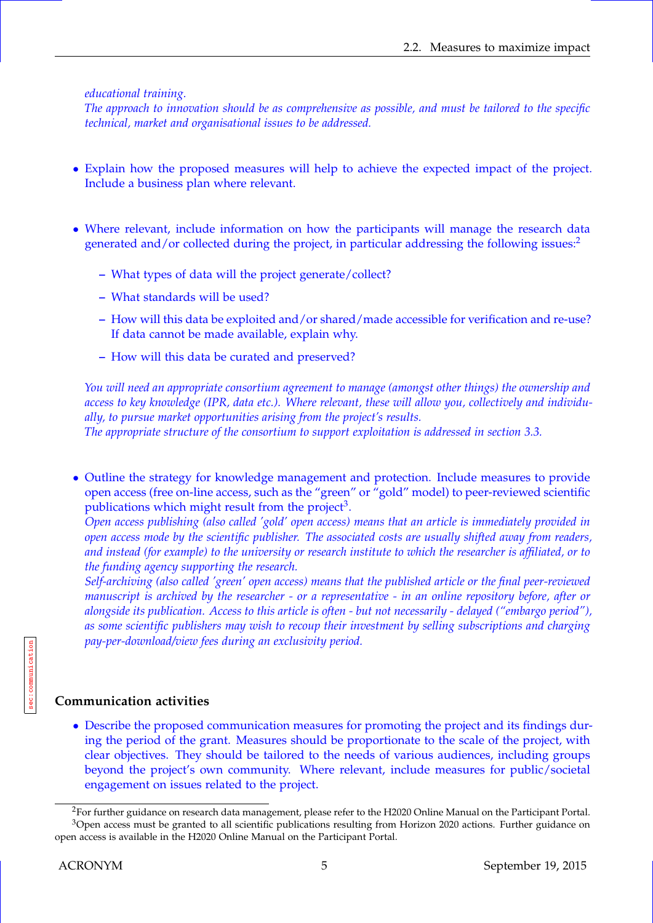*educational training.*

*The approach to innovation should be as comprehensive as possible, and must be tailored to the specific technical, market and organisational issues to be addressed.*

- Explain how the proposed measures will help to achieve the expected impact of the project. Include a business plan where relevant.
- Where relevant, include information on how the participants will manage the research data generated and/or collected during the project, in particular addressing the following issues:<sup>2</sup>
	- **–** What types of data will the project generate/collect?
	- **–** What standards will be used?
	- **–** How will this data be exploited and/or shared/made accessible for verification and re-use? If data cannot be made available, explain why.
	- **–** How will this data be curated and preserved?

*You will need an appropriate consortium agreement to manage (amongst other things) the ownership and access to key knowledge (IPR, data etc.). Where relevant, these will allow you, collectively and individually, to pursue market opportunities arising from the project's results. The appropriate structure of the consortium to support exploitation is addressed in section 3.3.*

• Outline the strategy for knowledge management and protection. Include measures to provide open access (free on-line access, such as the "green" or "gold" model) to peer-reviewed scientific publications which might result from the project<sup>3</sup>.

*Open access publishing (also called 'gold' open access) means that an article is immediately provided in open access mode by the scientific publisher. The associated costs are usually shifted away from readers, and instead (for example) to the university or research institute to which the researcher is affiliated, or to the funding agency supporting the research.*

*Self-archiving (also called 'green' open access) means that the published article or the final peer-reviewed manuscript is archived by the researcher - or a representative - in an online repository before, after or alongside its publication. Access to this article is often - but not necessarily - delayed ("embargo period"), as some scientific publishers may wish to recoup their investment by selling subscriptions and charging pay-per-download/view fees during an exclusivity period.*

### **Communication activities**

• Describe the proposed communication measures for promoting the project and its findings during the period of the grant. Measures should be proportionate to the scale of the project, with clear objectives. They should be tailored to the needs of various audiences, including groups beyond the project's own community. Where relevant, include measures for public/societal engagement on issues related to the project.

<sup>&</sup>lt;sup>2</sup>For further guidance on research data management, please refer to the H2020 Online Manual on the Participant Portal. <sup>3</sup>Open access must be granted to all scientific publications resulting from Horizon 2020 actions. Further guidance on open access is available in the H2020 Online Manual on the Participant Portal.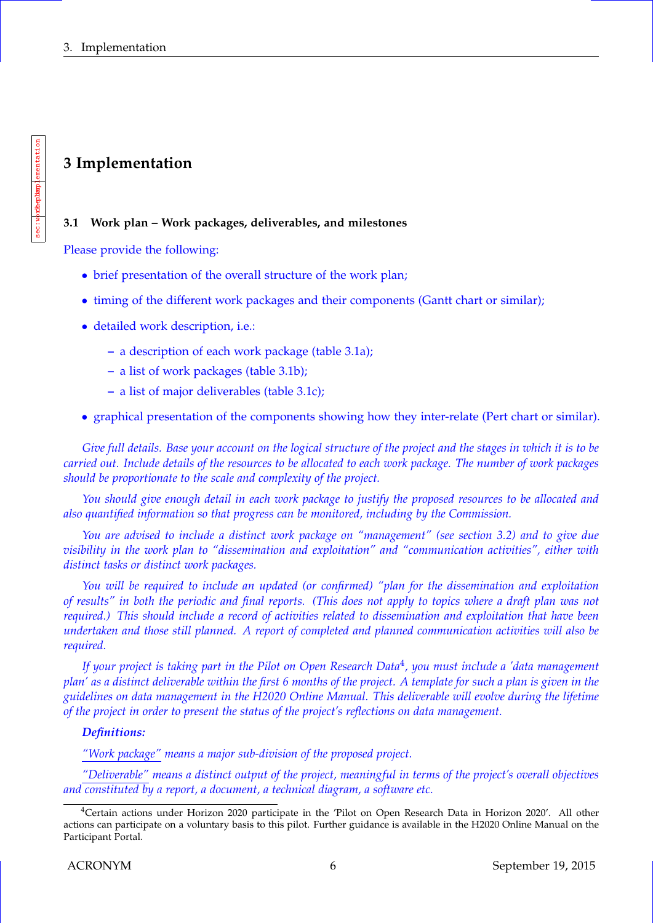cha:implementation

sec:wo<mark>rdraphampl</mark>ementation

sec:work-plan

### **3.1 Work plan – Work packages, deliverables, and milestones**

Please provide the following:

- brief presentation of the overall structure of the work plan;
- timing of the different work packages and their components (Gantt chart or similar);
- detailed work description, i.e.:
	- **–** a description of each work package (table 3.1a);
	- **–** a list of work packages (table 3.1b);
	- **–** a list of major deliverables (table 3.1c);
- graphical presentation of the components showing how they inter-relate (Pert chart or similar).

*Give full details. Base your account on the logical structure of the project and the stages in which it is to be carried out. Include details of the resources to be allocated to each work package. The number of work packages should be proportionate to the scale and complexity of the project.*

*You should give enough detail in each work package to justify the proposed resources to be allocated and also quantified information so that progress can be monitored, including by the Commission.*

*You are advised to include a distinct work package on "management" (see section 3.2) and to give due visibility in the work plan to "dissemination and exploitation" and "communication activities", either with distinct tasks or distinct work packages.*

*You will be required to include an updated (or confirmed) "plan for the dissemination and exploitation of results" in both the periodic and final reports. (This does not apply to topics where a draft plan was not required.) This should include a record of activities related to dissemination and exploitation that have been undertaken and those still planned. A report of completed and planned communication activities will also be required.*

*If your project is taking part in the Pilot on Open Research Data*<sup>4</sup> *, you must include a 'data management plan' as a distinct deliverable within the first 6 months of the project. A template for such a plan is given in the guidelines on data management in the H2020 Online Manual. This deliverable will evolve during the lifetime of the project in order to present the status of the project's reflections on data management.*

### *Definitions:*

*"Work package" means a major sub-division of the proposed project.*

*"Deliverable" means a distinct output of the project, meaningful in terms of the project's overall objectives and constituted by a report, a document, a technical diagram, a software etc.*

<sup>4</sup>Certain actions under Horizon 2020 participate in the 'Pilot on Open Research Data in Horizon 2020'. All other actions can participate on a voluntary basis to this pilot. Further guidance is available in the H2020 Online Manual on the Participant Portal.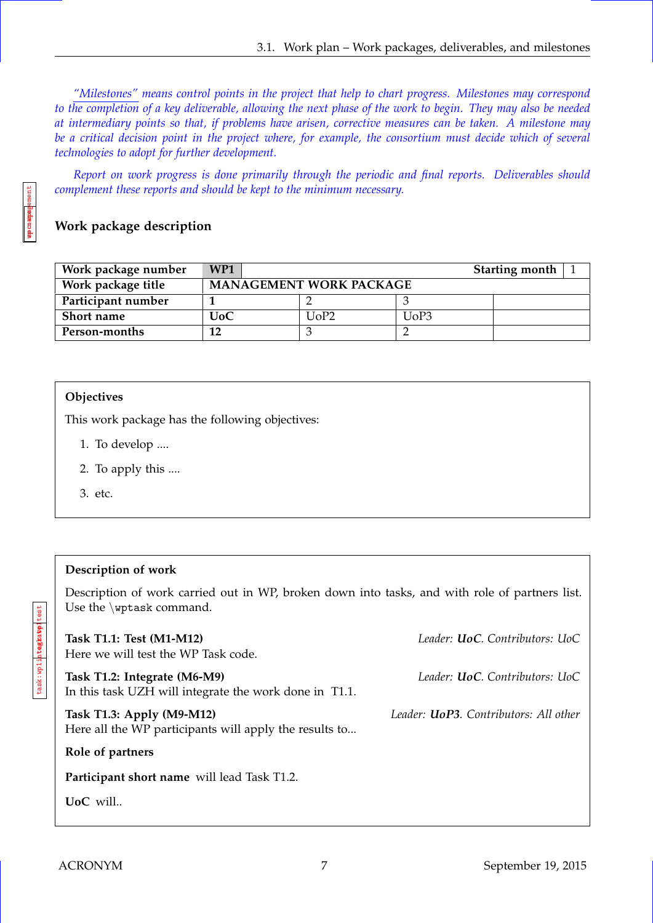*"Milestones" means control points in the project that help to chart progress. Milestones may correspond to the completion of a key deliverable, allowing the next phase of the work to begin. They may also be needed at intermediary points so that, if problems have arisen, corrective measures can be taken. A milestone may be a critical decision point in the project where, for example, the consortium must decide which of several technologies to adopt for further development.*

*Report on work progress is done primarily through the periodic and final reports. Deliverables should complement these reports and should be kept to the minimum necessary.*

### **Work package description**

| Work package number | WP1 |                                |       | Starting month $\vert$ |
|---------------------|-----|--------------------------------|-------|------------------------|
| Work package title  |     | <b>MANAGEMENT WORK PACKAGE</b> |       |                        |
| Participant number  |     |                                |       |                        |
| <b>Short name</b>   | UoC | UoP2                           | UoP3- |                        |
| Person-months       | 12  |                                |       |                        |

### **Objectives**

This work package has the following objectives:

- 1. To develop ....
- 2. To apply this ....
- 3. etc.

### **Description of work**

Description of work carried out in WP, broken down into tasks, and with role of partners list. Use the \wptask command.

| Task T1.1: Test (M1-M12)<br>Here we will test the WP Task code.                        | Leader: <b>UoC</b> . Contributors: UoC        |
|----------------------------------------------------------------------------------------|-----------------------------------------------|
| Task T1.2: Integrate (M6-M9)<br>In this task UZH will integrate the work done in T1.1. | Leader: <b>UoC</b> . Contributors: UoC        |
| Task T1.3: Apply (M9-M12)<br>Here all the WP participants will apply the results to    | Leader: <b>UoP3</b> . Contributors: All other |
| Role of partners                                                                       |                                               |
| Participant short name will lead Task T1.2.                                            |                                               |
| $U_0C$ will                                                                            |                                               |
|                                                                                        |                                               |
|                                                                                        |                                               |

sec:wps wp:management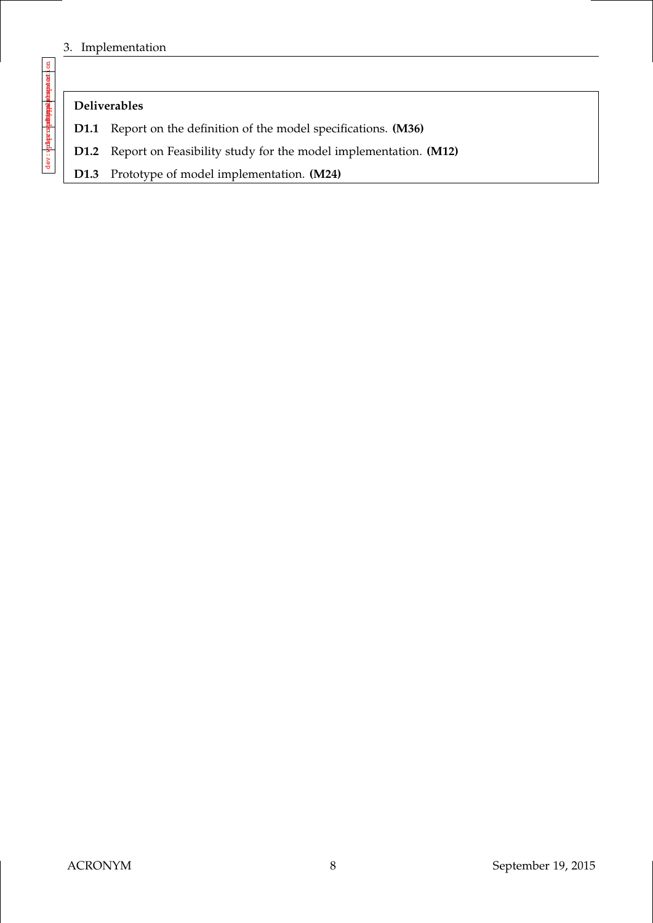### 3. Implementation

 $\overline{\mathbf{a}}$ dev:who happened at 1 on . peredagan <mark>delukapr</mark>ica rebo<sup>d</sup> devinal principation dev: wpdqaradprima lev:

### **Deliverables**

- **D1.1** Report on the definition of the model specifications. **(M36)**
- **D1.2** Report on Feasibility study for the model implementation. **(M12)**
- **D1.3** Prototype of model implementation. **(M24)**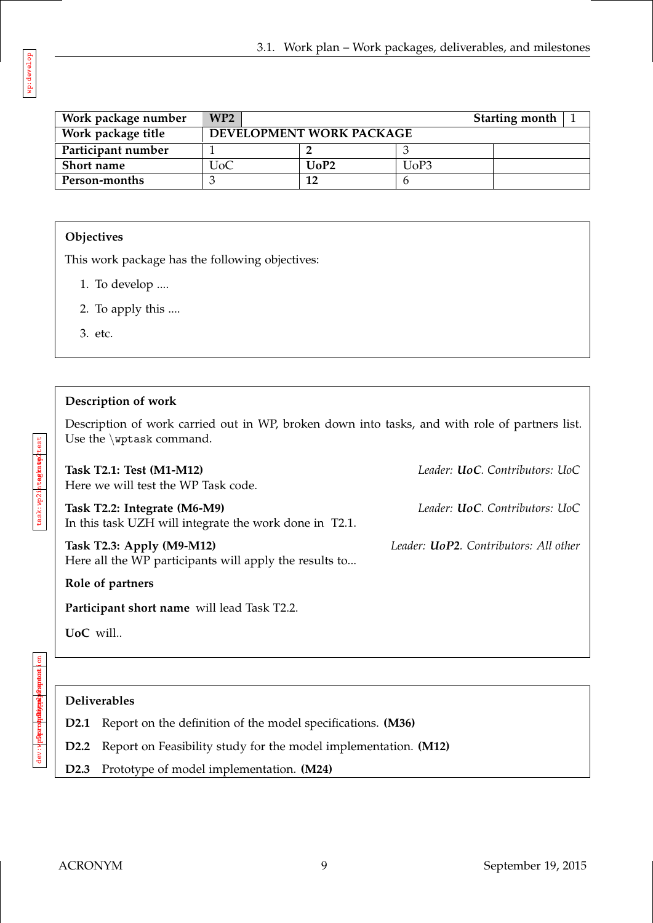| Work package number | WP2 |                               |      | Starting month |
|---------------------|-----|-------------------------------|------|----------------|
| Work package title  |     | DEVELOPMENT WORK PACKAGE      |      |                |
| Participant number  |     |                               |      |                |
| Short name          | UoC | U <sub>0</sub> P <sub>2</sub> | UoP3 |                |
| Person-months       |     | 12                            |      |                |

### **Objectives**

This work package has the following objectives:

- 1. To develop ....
- 2. To apply this ....
- 3. etc.

### **Description of work**

Description of work carried out in WP, broken down into tasks, and with role of partners list. Use the \wptask command.

| Task T2.1: Test (M1-M12)<br>Here we will test the WP Task code.                        | Leader: <b>UoC</b> , Contributors: UoC        |
|----------------------------------------------------------------------------------------|-----------------------------------------------|
| Task T2.2: Integrate (M6-M9)<br>In this task UZH will integrate the work done in T2.1. | Leader: <b>UoC</b> , Contributors: UoC        |
| Task T2.3: Apply (M9-M12)<br>Here all the WP participants will apply the results to    | Leader: <b>UoP2</b> . Contributors: All other |
| Role of partners                                                                       |                                               |
| Participant short name will lead Task T2.2.                                            |                                               |
| $U_0C$ will                                                                            |                                               |
|                                                                                        |                                               |
|                                                                                        |                                               |

dev:wp2erxroupderyppalpeRepetret.ion dev:w<mark>holeigna</mark>lementation devinal paraperes dev: wp2prototheter

### **Deliverables**

**D2.1** Report on the definition of the model specifications. **(M36)**

**D2.2** Report on Feasibility study for the model implementation. **(M12)**

**D2.3** Prototype of model implementation. **(M24)**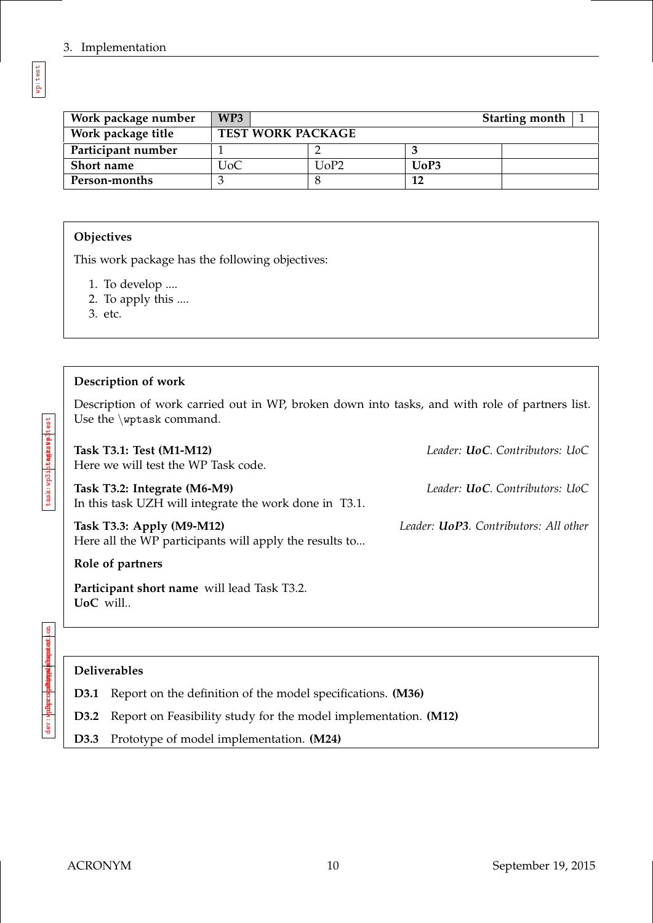| Work package number | WP3                      |      |                               | Starting month $\vert$ |
|---------------------|--------------------------|------|-------------------------------|------------------------|
| Work package title  | <b>TEST WORK PACKAGE</b> |      |                               |                        |
| Participant number  |                          |      |                               |                        |
| Short name          | UoC                      | UoP2 | U <sub>0</sub> P <sub>3</sub> |                        |
| Person-months       |                          |      | 12                            |                        |

### **Objectives**

This work package has the following objectives:

- 1. To develop ....
- 2. To apply this ....
- 3. etc.

### **Description of work**

Description of work carried out in WP, broken down into tasks, and with role of partners list. Use the \wptask command.

| Task T3.1: Test (M1-M12)<br>Here we will test the WP Task code.                        | Leader: <b>UoC</b> . Contributors: UoC        |
|----------------------------------------------------------------------------------------|-----------------------------------------------|
| Task T3.2: Integrate (M6-M9)<br>In this task UZH will integrate the work done in T3.1. | Leader: <b>UoC</b> . Contributors: UoC        |
| Task T3.3: Apply (M9-M12)<br>Here all the WP participants will apply the results to    | Leader: <b>UoP3</b> , Contributors: All other |
| Role of partners                                                                       |                                               |
| Participant short name will lead Task T3.2.<br>U <sub>o</sub> C will                   |                                               |

devinations permetes deu: w<mark>ingsubar</mark>iementation dev: w**pday cothesignes** 

### **Deliverables**

**D3.1** Report on the definition of the model specifications. **(M36)**

**D3.2** Report on Feasibility study for the model implementation. **(M12)**

**D3.3** Prototype of model implementation. **(M24)**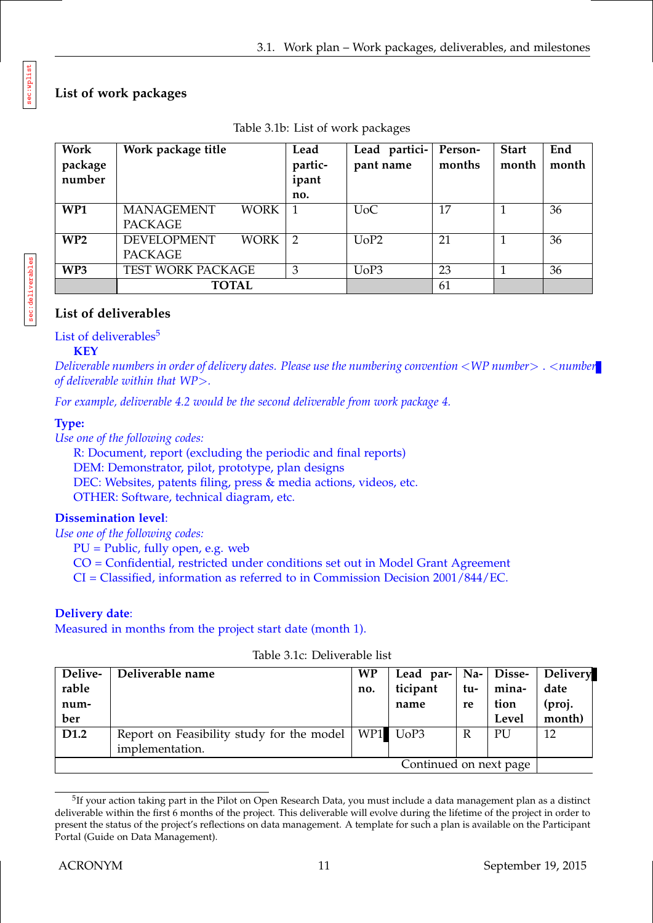### **List of work packages**

| Work<br>package<br>number | Work package title                                  | Lead<br>partic-<br>ipant<br>no. | Lead partici-<br>pant name | Person-<br>months | <b>Start</b><br>month | End<br>month |
|---------------------------|-----------------------------------------------------|---------------------------------|----------------------------|-------------------|-----------------------|--------------|
| WP1                       | <b>MANAGEMENT</b><br><b>WORK</b><br><b>PACKAGE</b>  |                                 | U <sub>0</sub> C           | 17                |                       | 36           |
| WP2                       | <b>DEVELOPMENT</b><br><b>WORK</b><br><b>PACKAGE</b> | $\overline{2}$                  | UoP2                       | 21                |                       | 36           |
| WP3                       | TEST WORK PACKAGE                                   | 3                               | UoP3                       | 23                |                       | 36           |
|                           | <b>TOTAL</b>                                        |                                 |                            | 61                |                       |              |

### Table 3.1b: List of work packages

## sec:deliverables sec:deliverable

sec:wplist

### **List of deliverables**

List of deliverables<sup>5</sup>

**KEY**

*Deliverable numbers in order of delivery dates. Please use the numbering convention* <*WP number*> . <*number of deliverable within that WP*>*.*

*For example, deliverable 4.2 would be the second deliverable from work package 4.*

### **Type:**

*Use one of the following codes:* R: Document, report (excluding the periodic and final reports) DEM: Demonstrator, pilot, prototype, plan designs DEC: Websites, patents filing, press & media actions, videos, etc. OTHER: Software, technical diagram, etc.

### **Dissemination level**:

*Use one of the following codes:*

PU = Public, fully open, e.g. web

CO = Confidential, restricted under conditions set out in Model Grant Agreement

CI = Classified, information as referred to in Commission Decision 2001/844/EC.

### **Delivery date**:

Measured in months from the project start date (month 1).

| Delive-                | Deliverable name                                     | <b>WP</b> | Lead par- $\vert$ Na- $\vert$ Disse- $\vert$ |     |       | <b>Delivery</b> |
|------------------------|------------------------------------------------------|-----------|----------------------------------------------|-----|-------|-----------------|
| rable                  |                                                      | no.       | ticipant                                     | tu- | mina- | date            |
| num-                   |                                                      |           | name                                         | re  | tion  | (proj.          |
| ber                    |                                                      |           |                                              |     | Level | month)          |
| D <sub>1.2</sub>       | Report on Feasibility study for the model   WP1 UoP3 |           |                                              |     | PU    | 12              |
|                        | implementation.                                      |           |                                              |     |       |                 |
| Continued on next page |                                                      |           |                                              |     |       |                 |

 $^5$ If your action taking part in the Pilot on Open Research Data, you must include a data management plan as a distinct deliverable within the first 6 months of the project. This deliverable will evolve during the lifetime of the project in order to present the status of the project's reflections on data management. A template for such a plan is available on the Participant Portal (Guide on Data Management).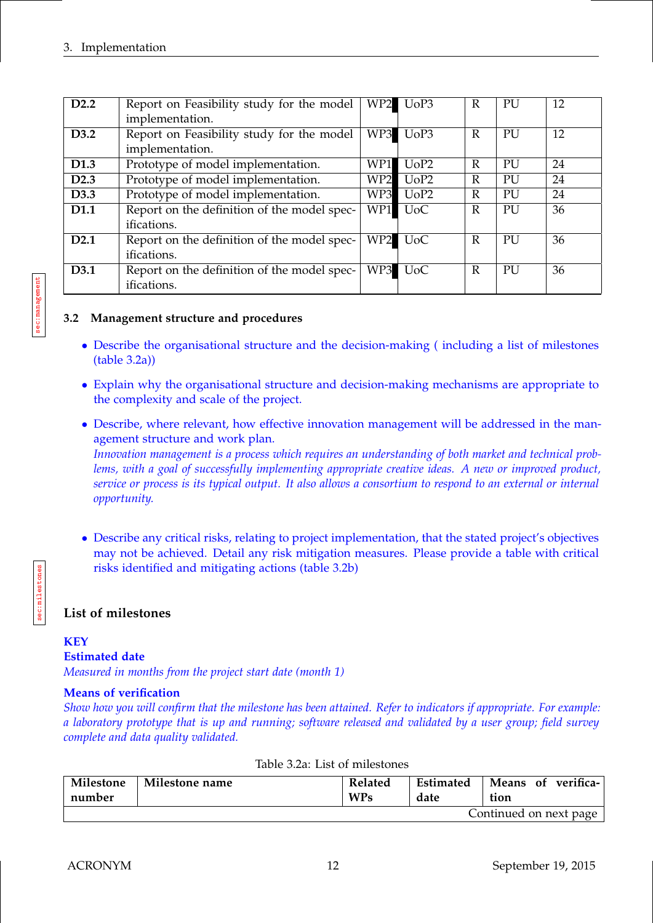| D2.2             | Report on Feasibility study for the model   |                 | WP2 UoP3         | $\mathbb{R}$ | PU | 12 |
|------------------|---------------------------------------------|-----------------|------------------|--------------|----|----|
|                  | implementation.                             |                 |                  |              |    |    |
| D3.2             | Report on Feasibility study for the model   |                 | WP3 UoP3         | R            | PU | 12 |
|                  | implementation.                             |                 |                  |              |    |    |
| D <sub>1.3</sub> | Prototype of model implementation.          | WP1             | UoP2             | $\mathbb{R}$ | PU | 24 |
| D2.3             | Prototype of model implementation.          | WP <sub>2</sub> | UoP2             | R            | PU | 24 |
| D3.3             | Prototype of model implementation.          | WP3             | UoP2             | R            | PU | 24 |
| D <sub>1.1</sub> | Report on the definition of the model spec- | WP1             | U <sub>o</sub> C | R            | PU | 36 |
|                  | ifications.                                 |                 |                  |              |    |    |
| D <sub>2.1</sub> | Report on the definition of the model spec- | WP <sub>2</sub> | U <sub>o</sub> C | $\mathbb{R}$ | PU | 36 |
|                  | ifications.                                 |                 |                  |              |    |    |
| D3.1             | Report on the definition of the model spec- | WP3             | $U_0C$           | R            | PU | 36 |
|                  | ifications.                                 |                 |                  |              |    |    |

### **3.2 Management structure and procedures**

- Describe the organisational structure and the decision-making ( including a list of milestones (table 3.2a))
- Explain why the organisational structure and decision-making mechanisms are appropriate to the complexity and scale of the project.
- Describe, where relevant, how effective innovation management will be addressed in the management structure and work plan. *Innovation management is a process which requires an understanding of both market and technical problems, with a goal of successfully implementing appropriate creative ideas. A new or improved product, service or process is its typical output. It also allows a consortium to respond to an external or internal opportunity.*
- Describe any critical risks, relating to project implementation, that the stated project's objectives may not be achieved. Detail any risk mitigation measures. Please provide a table with critical risks identified and mitigating actions (table 3.2b)

### **List of milestones**

### **KEY**

sec:milestones

ec:milestone;

### **Estimated date**

*Measured in months from the project start date (month 1)*

### **Means of verification**

*Show how you will confirm that the milestone has been attained. Refer to indicators if appropriate. For example: a laboratory prototype that is up and running; software released and validated by a user group; field survey complete and data quality validated.*

| Milestone | Milestone name | Related    | <b>Estimated</b> | Means of verifica-     |
|-----------|----------------|------------|------------------|------------------------|
| number    |                | <b>WPs</b> | date             | tion                   |
|           |                |            |                  | Continued on next page |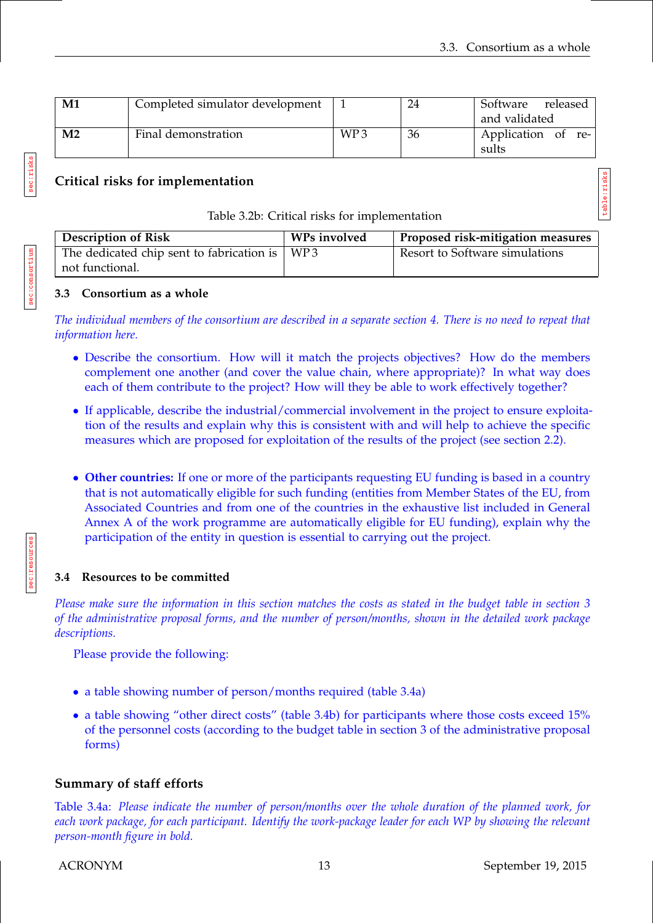table:risks

| M1             | Completed simulator development |                 | 24 | Software released<br>and validated |
|----------------|---------------------------------|-----------------|----|------------------------------------|
| M <sub>2</sub> | Final demonstration             | WP <sub>3</sub> | 36 | Application of re-<br>sults        |

### **Critical risks for implementation**

|  |  |  |  |  | Table 3.2b: Critical risks for implementation |
|--|--|--|--|--|-----------------------------------------------|
|--|--|--|--|--|-----------------------------------------------|

| <b>Description of Risk</b>                        | WPs involved    | Proposed risk-mitigation measures |
|---------------------------------------------------|-----------------|-----------------------------------|
| The dedicated chip sent to fabrication is $\vert$ | WP <sub>3</sub> | Resort to Software simulations    |
| not functional.                                   |                 |                                   |

### **3.3 Consortium as a whole**

*The individual members of the consortium are described in a separate section 4. There is no need to repeat that information here.*

- Describe the consortium. How will it match the projects objectives? How do the members complement one another (and cover the value chain, where appropriate)? In what way does each of them contribute to the project? How will they be able to work effectively together?
- If applicable, describe the industrial/commercial involvement in the project to ensure exploitation of the results and explain why this is consistent with and will help to achieve the specific measures which are proposed for exploitation of the results of the project (see section 2.2).
- **Other countries:** If one or more of the participants requesting EU funding is based in a country that is not automatically eligible for such funding (entities from Member States of the EU, from Associated Countries and from one of the countries in the exhaustive list included in General Annex A of the work programme are automatically eligible for EU funding), explain why the participation of the entity in question is essential to carrying out the project.

### **3.4 Resources to be committed**

*Please make sure the information in this section matches the costs as stated in the budget table in section 3 of the administrative proposal forms, and the number of person/months, shown in the detailed work package descriptions.*

### Please provide the following:

- a table showing number of person/months required (table 3.4a)
- a table showing "other direct costs" (table 3.4b) for participants where those costs exceed 15% of the personnel costs (according to the budget table in section 3 of the administrative proposal forms)

### **Summary of staff efforts**

Table 3.4a: *Please indicate the number of person/months over the whole duration of the planned work, for each work package, for each participant. Identify the work-package leader for each WP by showing the relevant person-month figure in bold.*

sec:risks

sec:resources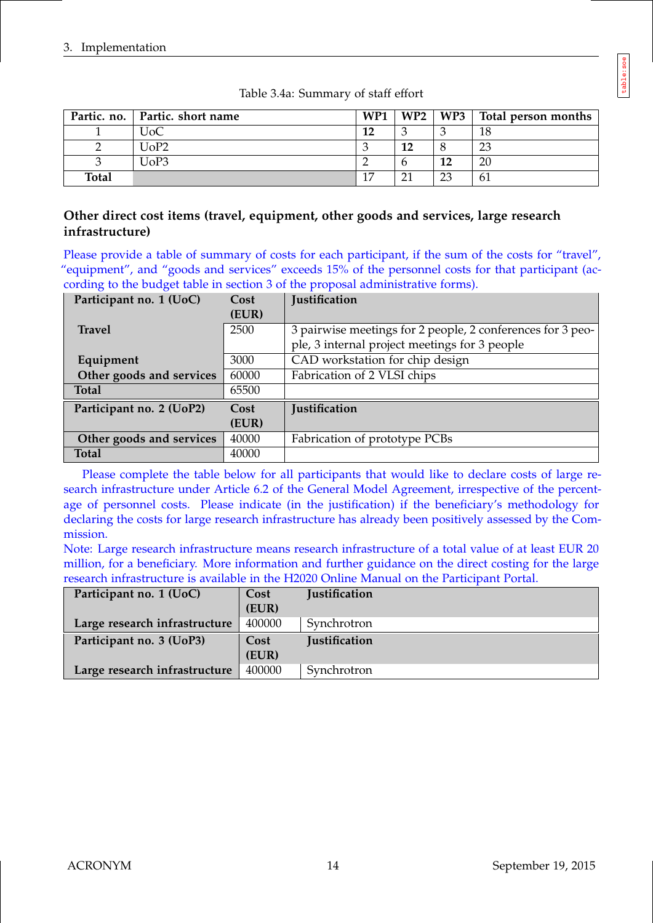|       | Partic. no.   Partic. short name | WP1 | WP2 |    | WP3 Total person months |
|-------|----------------------------------|-----|-----|----|-------------------------|
|       | UoC                              | 12  |     |    | 18                      |
|       | UoP2                             |     | 12  |    | 23                      |
|       | UoP3                             |     | h   | 12 | 20                      |
| Total |                                  | 15  | n1  | 23 | -61                     |

### Table 3.4a: Summary of staff effort

### **Other direct cost items (travel, equipment, other goods and services, large research infrastructure)**

Please provide a table of summary of costs for each participant, if the sum of the costs for "travel", "equipment", and "goods and services" exceeds 15% of the personnel costs for that participant (according to the budget table in section 3 of the proposal administrative forms).

| Participant no. 1 (UoC)  | Cost  | Justification                                              |  |  |
|--------------------------|-------|------------------------------------------------------------|--|--|
|                          | (EUR) |                                                            |  |  |
| <b>Travel</b>            | 2500  | 3 pairwise meetings for 2 people, 2 conferences for 3 peo- |  |  |
|                          |       | ple, 3 internal project meetings for 3 people              |  |  |
| Equipment                | 3000  | CAD workstation for chip design                            |  |  |
| Other goods and services | 60000 | Fabrication of 2 VLSI chips                                |  |  |
| <b>Total</b>             | 65500 |                                                            |  |  |
| Participant no. 2 (UoP2) | Cost  | <b>Justification</b>                                       |  |  |
|                          | (EUR) |                                                            |  |  |
| Other goods and services | 40000 | Fabrication of prototype PCBs                              |  |  |
| <b>Total</b>             | 40000 |                                                            |  |  |

Please complete the table below for all participants that would like to declare costs of large research infrastructure under Article 6.2 of the General Model Agreement, irrespective of the percentage of personnel costs. Please indicate (in the justification) if the beneficiary's methodology for declaring the costs for large research infrastructure has already been positively assessed by the Commission.

Note: Large research infrastructure means research infrastructure of a total value of at least EUR 20 million, for a beneficiary. More information and further guidance on the direct costing for the large research infrastructure is available in the H2020 Online Manual on the Participant Portal.

| Participant no. 1 (UoC)       | Cost<br>(EUR) | Justification |
|-------------------------------|---------------|---------------|
| Large research infrastructure | 400000        | Synchrotron   |
| Participant no. 3 (UoP3)      | Cost<br>(EUR) | Justification |
| Large research infrastructure | 400000        | Synchrotron   |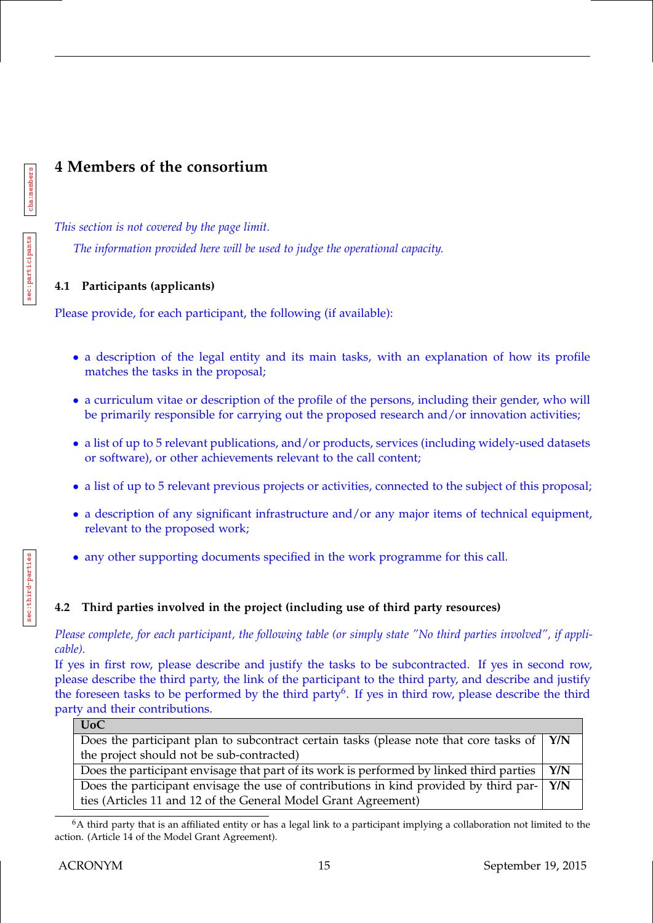### **4 Members of the consortium**

*This section is not covered by the page limit.*

*The information provided here will be used to judge the operational capacity.*

### **4.1 Participants (applicants)**

Please provide, for each participant, the following (if available):

- a description of the legal entity and its main tasks, with an explanation of how its profile matches the tasks in the proposal;
- a curriculum vitae or description of the profile of the persons, including their gender, who will be primarily responsible for carrying out the proposed research and/or innovation activities;
- a list of up to 5 relevant publications, and/or products, services (including widely-used datasets or software), or other achievements relevant to the call content;
- a list of up to 5 relevant previous projects or activities, connected to the subject of this proposal;
- a description of any significant infrastructure and/or any major items of technical equipment, relevant to the proposed work;
- any other supporting documents specified in the work programme for this call.

### **4.2 Third parties involved in the project (including use of third party resources)**

*Please complete, for each participant, the following table (or simply state "No third parties involved", if applicable).*

If yes in first row, please describe and justify the tasks to be subcontracted. If yes in second row, please describe the third party, the link of the participant to the third party, and describe and justify the foreseen tasks to be performed by the third party<sup>6</sup>. If yes in third row, please describe the third party and their contributions.

| U <sub>0</sub> C                                                                                           |     |
|------------------------------------------------------------------------------------------------------------|-----|
| Does the participant plan to subcontract certain tasks (please note that core tasks of $\vert$ Y/N         |     |
| the project should not be sub-contracted)                                                                  |     |
| Does the participant envisage that part of its work is performed by linked third parties                   | Y/N |
| Does the participant envisage the use of contributions in kind provided by third par- $\left  \right $ Y/N |     |
| ties (Articles 11 and 12 of the General Model Grant Agreement)                                             |     |

 $6A$  third party that is an affiliated entity or has a legal link to a participant implying a collaboration not limited to the action. (Article 14 of the Model Grant Agreement).

cha:memb

sec:participants

sec:participants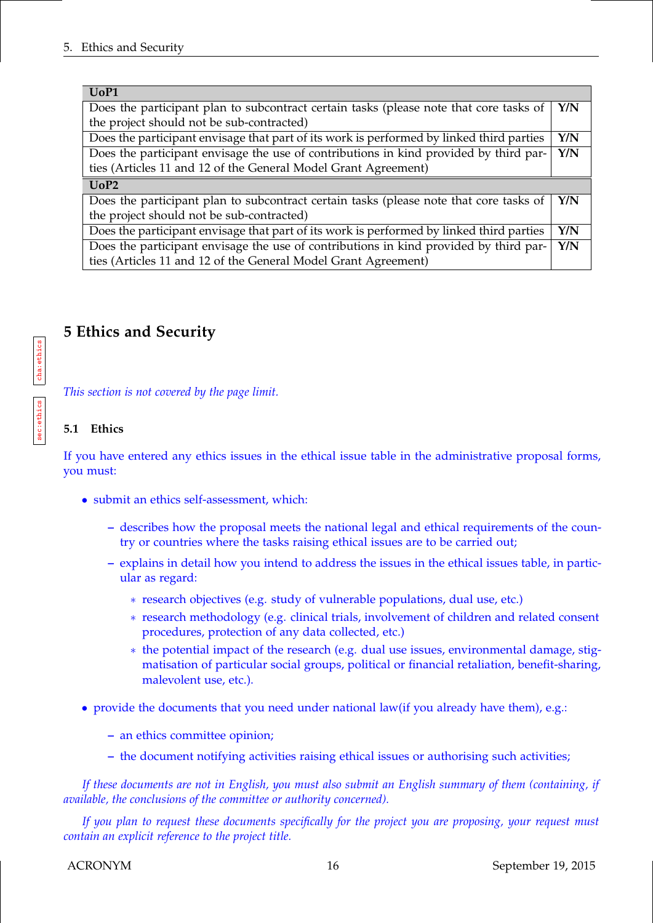### **UoP1**

Does the participant plan to subcontract certain tasks (please note that core tasks of the project should not be sub-contracted) **Y/N** Does the participant envisage that part of its work is performed by linked third parties **Y/N** 

Does the participant envisage the use of contributions in kind provided by third parties (Articles 11 and 12 of the General Model Grant Agreement) **Y/N**

### **UoP2**

Does the participant plan to subcontract certain tasks (please note that core tasks of the project should not be sub-contracted) **Y/N**

Does the participant envisage that part of its work is performed by linked third parties | Y/N Does the participant envisage the use of contributions in kind provided by third parties (Articles 11 and 12 of the General Model Grant Agreement) **Y/N**

### **5 Ethics and Security**

*This section is not covered by the page limit.*

### **5.1 Ethics**

If you have entered any ethics issues in the ethical issue table in the administrative proposal forms, you must:

- submit an ethics self-assessment, which:
	- **–** describes how the proposal meets the national legal and ethical requirements of the country or countries where the tasks raising ethical issues are to be carried out;
	- **–** explains in detail how you intend to address the issues in the ethical issues table, in particular as regard:
		- ∗ research objectives (e.g. study of vulnerable populations, dual use, etc.)
		- ∗ research methodology (e.g. clinical trials, involvement of children and related consent procedures, protection of any data collected, etc.)
		- ∗ the potential impact of the research (e.g. dual use issues, environmental damage, stigmatisation of particular social groups, political or financial retaliation, benefit-sharing, malevolent use, etc.).
- provide the documents that you need under national law(if you already have them), e.g.:
	- **–** an ethics committee opinion;
	- **–** the document notifying activities raising ethical issues or authorising such activities;

*If these documents are not in English, you must also submit an English summary of them (containing, if available, the conclusions of the committee or authority concerned).*

*If you plan to request these documents specifically for the project you are proposing, your request must contain an explicit reference to the project title.*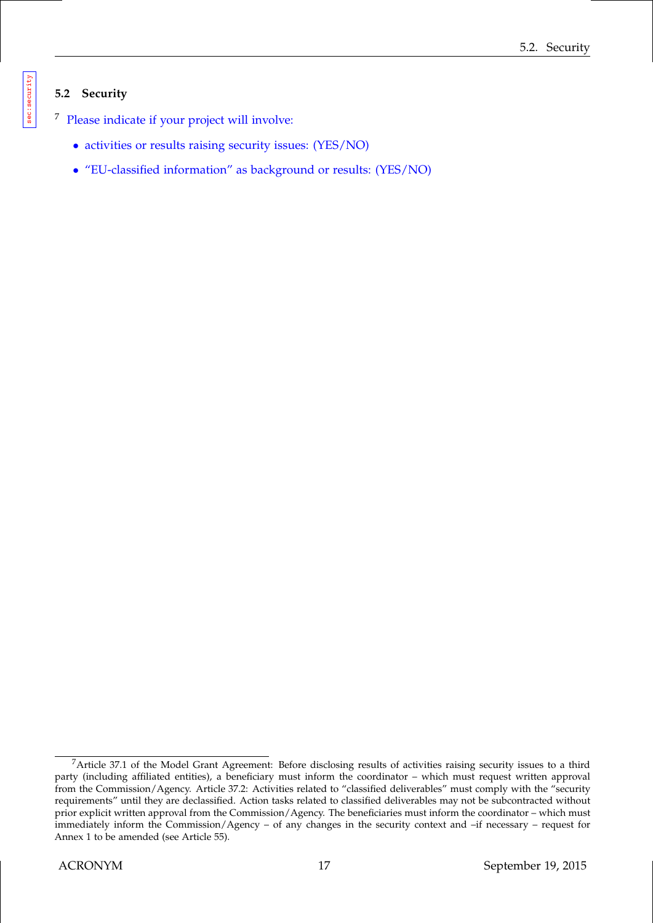### **5.2 Security**

<sup>7</sup> Please indicate if your project will involve:

- activities or results raising security issues: (YES/NO)
- "EU-classified information" as background or results: (YES/NO)

<sup>&</sup>lt;sup>7</sup>Article 37.1 of the Model Grant Agreement: Before disclosing results of activities raising security issues to a third party (including affiliated entities), a beneficiary must inform the coordinator – which must request written approval from the Commission/Agency. Article 37.2: Activities related to "classified deliverables" must comply with the "security requirements" until they are declassified. Action tasks related to classified deliverables may not be subcontracted without prior explicit written approval from the Commission/Agency. The beneficiaries must inform the coordinator – which must immediately inform the Commission/Agency – of any changes in the security context and –if necessary – request for Annex 1 to be amended (see Article 55).